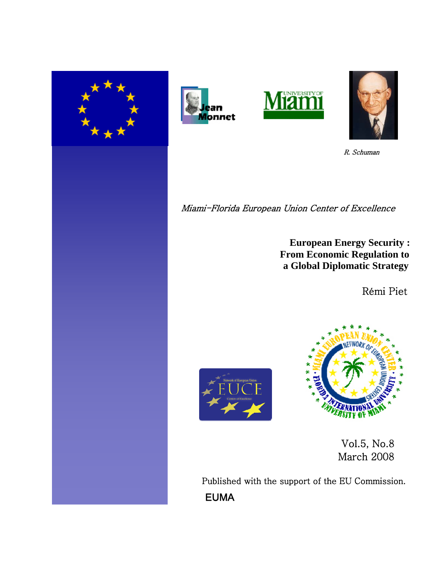







R. Schuman

Miami-Florida European Union Center of Excellence

 **European Energy Security : From Economic Regulation to a Global Diplomatic Strategy**

Rémi Piet





 Vol.5, No.8 March 2008

Published with the support of the EU Commission. EUMA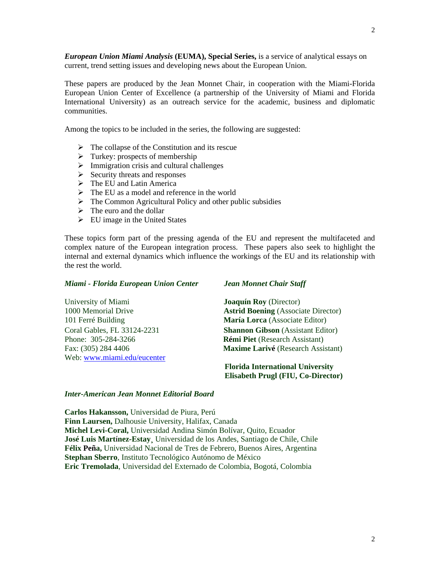*European Union Miami Analysis* **(EUMA), Special Series,** is a service of analytical essays on current, trend setting issues and developing news about the European Union.

These papers are produced by the Jean Monnet Chair, in cooperation with the Miami-Florida European Union Center of Excellence (a partnership of the University of Miami and Florida International University) as an outreach service for the academic, business and diplomatic communities.

Among the topics to be included in the series, the following are suggested:

- $\triangleright$  The collapse of the Constitution and its rescue
- $\triangleright$  Turkey: prospects of membership
- $\triangleright$  Immigration crisis and cultural challenges
- $\triangleright$  Security threats and responses
- $\triangleright$  The EU and Latin America
- $\triangleright$  The EU as a model and reference in the world
- $\triangleright$  The Common Agricultural Policy and other public subsidies
- $\triangleright$  The euro and the dollar
- $\triangleright$  EU image in the United States

These topics form part of the pressing agenda of the EU and represent the multifaceted and complex nature of the European integration process. These papers also seek to highlight the internal and external dynamics which influence the workings of the EU and its relationship with the rest the world.

## *Miami - Florida European Union Center Jean Monnet Chair Staff*

University of Miami **Joaquín Roy** (Director) 101 Ferré Building **María Lorca** (Associate Editor) Phone: 305-284-3266 **Rémi Piet** (Research Assistant) Web: [www.miami.edu/eucenter](http://www.miami.edu/eucenter)

1000 Memorial Drive **Astrid Boening** (Associate Director) Coral Gables, FL 33124-2231 **Shannon Gibson** (Assistant Editor) Fax: (305) 284 4406 **Maxime Larivé** (Research Assistant)

> **Florida International University Elisabeth Prugl (FIU, Co-Director)**

## *Inter-American Jean Monnet Editorial Board*

**Carlos Hakansson,** Universidad de Piura, Perú **Finn Laursen,** Dalhousie University, Halifax, Canada **Michel Levi-Coral,** Universidad Andina Simón Bolívar, Quito, Ecuador **José Luis Martínez-Estay¸** Universidad de los Andes, Santiago de Chile, Chile **Félix Peña,** Universidad Nacional de Tres de Febrero, Buenos Aires, Argentina **Stephan Sberro**, Instituto Tecnológico Autónomo de México **Eric Tremolada**, Universidad del Externado de Colombia, Bogotá, Colombia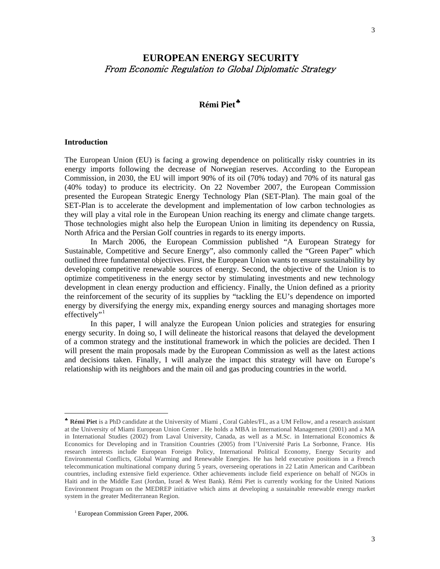# **EUROPEAN ENERGY SECURITY**  From Economic Regulation to Global Diplomatic Strategy

# **Rémi Piet**[♣](#page-2-0)

#### **Introduction**

 $\overline{\phantom{a}}$ 

The European Union (EU) is facing a growing dependence on politically risky countries in its energy imports following the decrease of Norwegian reserves. According to the European Commission, in 2030, the EU will import 90% of its oil (70% today) and 70% of its natural gas (40% today) to produce its electricity. On 22 November 2007, the European Commission presented the European Strategic Energy Technology Plan (SET-Plan). The main goal of the SET-Plan is to accelerate the development and implementation of low carbon technologies as they will play a vital role in the European Union reaching its energy and climate change targets. Those technologies might also help the European Union in limiting its dependency on Russia, North Africa and the Persian Golf countries in regards to its energy imports.

In March 2006, the European Commission published "A European Strategy for Sustainable, Competitive and Secure Energy", also commonly called the "Green Paper" which outlined three fundamental objectives. First, the European Union wants to ensure sustainability by developing competitive renewable sources of energy. Second, the objective of the Union is to optimize competitiveness in the energy sector by stimulating investments and new technology development in clean energy production and efficiency. Finally, the Union defined as a priority the reinforcement of the security of its supplies by "tackling the EU's dependence on imported energy by diversifying the energy mix, expanding energy sources and managing shortages more effectively"<sup>[1](#page-2-1)</sup>

In this paper, I will analyze the European Union policies and strategies for ensuring energy security. In doing so, I will delineate the historical reasons that delayed the development of a common strategy and the institutional framework in which the policies are decided. Then I will present the main proposals made by the European Commission as well as the latest actions and decisions taken. Finally, I will analyze the impact this strategy will have on Europe's relationship with its neighbors and the main oil and gas producing countries in the world.

<span id="page-2-0"></span><sup>♣</sup> **Rémi Piet** is a PhD candidate at the University of Miami , Coral Gables/FL, as a UM Fellow, and a research assistant at the University of Miami European Union Center . He holds a MBA in International Management (2001) and a MA in International Studies (2002) from Laval University, Canada, as well as a M.Sc. in International Economics & Economics for Developing and in Transition Countries (2005) from l'Université Paris La Sorbonne, France. His research interests include European Foreign Policy, International Political Economy, Energy Security and Environmental Conflicts, Global Warming and Renewable Energies. He has held executive positions in a French telecommunication multinational company during 5 years, overseeing operations in 22 Latin American and Caribbean countries, including extensive field experience. Other achievements include field experience on behalf of NGOs in Haiti and in the Middle East (Jordan, Israel & West Bank). Rémi Piet is currently working for the United Nations Environment Program on the MEDREP initiative which aims at developing a sustainable renewable energy market system in the greater Mediterranean Region.

<span id="page-2-1"></span><sup>&</sup>lt;sup>1</sup> European Commission Green Paper, 2006.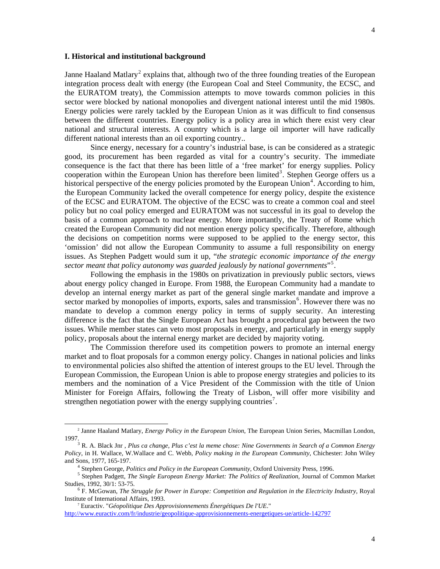#### **I. Historical and institutional background**

Janne Haaland Matlary<sup>[2](#page-3-0)</sup> explains that, although two of the three founding treaties of the European integration process dealt with energy (the European Coal and Steel Community, the ECSC, and the EURATOM treaty), the Commission attempts to move towards common policies in this sector were blocked by national monopolies and divergent national interest until the mid 1980s. Energy policies were rarely tackled by the European Union as it was difficult to find consensus between the different countries. Energy policy is a policy area in which there exist very clear national and structural interests. A country which is a large oil importer will have radically different national interests than an oil exporting country..

 Since energy, necessary for a country's industrial base, is can be considered as a strategic good, its procurement has been regarded as vital for a country's security. The immediate consequence is the fact that there has been little of a 'free market' for energy supplies. Policy cooperation within the European Union has therefore been limited<sup>[3](#page-3-1)</sup>. Stephen George offers us a historical perspective of the energy policies promoted by the European Union<sup>[4](#page-3-2)</sup>. According to him, the European Community lacked the overall competence for energy policy, despite the existence of the ECSC and EURATOM. The objective of the ECSC was to create a common coal and steel policy but no coal policy emerged and EURATOM was not successful in its goal to develop the basis of a common approach to nuclear energy. More importantly, the Treaty of Rome which created the European Community did not mention energy policy specifically. Therefore, although the decisions on competition norms were supposed to be applied to the energy sector, this 'omission' did not allow the European Community to assume a full responsibility on energy issues. As Stephen Padgett would sum it up, "*the strategic economic importance of the energy sector meant that policy autonomy was guarded jealously by national governments*"[5](#page-3-3) .

 Following the emphasis in the 1980s on privatization in previously public sectors, views about energy policy changed in Europe. From 1988, the European Community had a mandate to develop an internal energy market as part of the general single market mandate and improve a sector marked by monopolies of imports, exports, sales and transmission<sup>[6](#page-3-4)</sup>. However there was no mandate to develop a common energy policy in terms of supply security. An interesting difference is the fact that the Single European Act has brought a procedural gap between the two issues. While member states can veto most proposals in energy, and particularly in energy supply policy, proposals about the internal energy market are decided by majority voting.

 The Commission therefore used its competition powers to promote an internal energy market and to float proposals for a common energy policy. Changes in national policies and links to environmental policies also shifted the attention of interest groups to the EU level. Through the European Commission, the European Union is able to propose energy strategies and policies to its members and the nomination of a Vice President of the Commission with the title of Union Minister for Foreign Affairs, following the Treaty of Lisbon, will offer more visibility and strengthen negotiation power with the energy supplying countries<sup>[7](#page-3-5)</sup>.

<span id="page-3-0"></span> <sup>2</sup> Janne Haaland Matlary, *Energy Policy in the European Union*, The European Union Series, Macmillan London, 1997.

<span id="page-3-1"></span>R. A. Black Jnr , *Plus ca change, Plus c'est la meme chose: Nine Governments in Search of a Common Energy Policy*, in H. Wallace, W.Wallace and C. Webb, *Policy making in the European Community*, Chichester: John Wiley and Sons, 1977, 165-197. 4

Stephen George, *Politics and Policy in the European Community,* Oxford University Press, 1996. 5

<span id="page-3-3"></span><span id="page-3-2"></span>Stephen Padgett, *The Single European Energy Market: The Politics of Realization,* Journal of Common Market Studies, 1992, 30/1: 53-75. 6

<span id="page-3-4"></span>F. McGowan, *The Struggle for Power in Europe: Competition and Regulation in the Electricity Industry,* Royal Institute of International Affairs, 1993.

<span id="page-3-5"></span><sup>7</sup> Euractiv. "*Géopolitique Des Approvisionnements Énergétiques De l'UE*."

<http://www.euractiv.com/fr/industrie/geopolitique-approvisionnements-energetiques-ue/article-142797>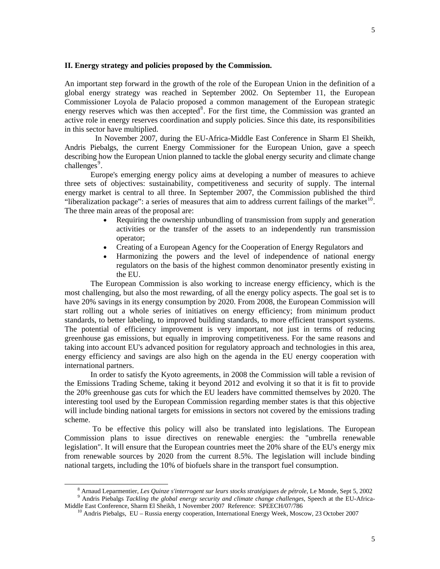## **II. Energy strategy and policies proposed by the Commission.**

An important step forward in the growth of the role of the European Union in the definition of a global energy strategy was reached in September 2002. On September 11, the European Commissioner Loyola de Palacio proposed a common management of the European strategic energy reserves which was then accepted<sup>[8](#page-4-0)</sup>. For the first time, the Commission was granted an active role in energy reserves coordination and supply policies. Since this date, its responsibilities in this sector have multiplied.

 In November 2007, during the EU-Africa-Middle East Conference in Sharm El Sheikh, Andris Piebalgs, the current Energy Commissioner for the European Union, gave a speech describing how the European Union planned to tackle the global energy security and climate change  $challenges<sup>9</sup>$  $challenges<sup>9</sup>$  $challenges<sup>9</sup>$ .

 Europe's emerging energy policy aims at developing a number of measures to achieve three sets of objectives: sustainability, competitiveness and security of supply. The internal energy market is central to all three. In September 2007, the Commission published the third "liberalization package": a series of measures that aim to address current failings of the market $^{10}$  $^{10}$  $^{10}$ . The three main areas of the proposal are:

- Requiring the ownership unbundling of transmission from supply and generation activities or the transfer of the assets to an independently run transmission operator;
- Creating of a European Agency for the Cooperation of Energy Regulators and
- Harmonizing the powers and the level of independence of national energy regulators on the basis of the highest common denominator presently existing in the EU.

The European Commission is also working to increase energy efficiency, which is the most challenging, but also the most rewarding, of all the energy policy aspects. The goal set is to have 20% savings in its energy consumption by 2020. From 2008, the European Commission will start rolling out a whole series of initiatives on energy efficiency; from minimum product standards, to better labeling, to improved building standards, to more efficient transport systems. The potential of efficiency improvement is very important, not just in terms of reducing greenhouse gas emissions, but equally in improving competitiveness. For the same reasons and taking into account EU's advanced position for regulatory approach and technologies in this area, energy efficiency and savings are also high on the agenda in the EU energy cooperation with international partners.

In order to satisfy the Kyoto agreements, in 2008 the Commission will table a revision of the Emissions Trading Scheme, taking it beyond 2012 and evolving it so that it is fit to provide the 20% greenhouse gas cuts for which the EU leaders have committed themselves by 2020. The interesting tool used by the European Commission regarding member states is that this objective will include binding national targets for emissions in sectors not covered by the emissions trading scheme.

 To be effective this policy will also be translated into legislations. The European Commission plans to issue directives on renewable energies: the "umbrella renewable legislation". It will ensure that the European countries meet the 20% share of the EU's energy mix from renewable sources by 2020 from the current 8.5%. The legislation will include binding national targets, including the 10% of biofuels share in the transport fuel consumption.

<span id="page-4-2"></span><span id="page-4-1"></span><span id="page-4-0"></span> <sup>8</sup> Arnaud Leparmentier, *Les Quinze s'interrogent sur leurs stocks stratégiques de pétrole*, Le Monde, Sept 5, 2002 9 <sup>9</sup> Andris Piebalgs *Tackling the global energy security and climate change challenges*, Speech at the EU-Africa-Middle East Conference, Sharm El Sheikh, 1 November 2007 Reference: SPEECH/07/786

 $10$  Andris Piebalgs, EU – Russia energy cooperation, International Energy Week, Moscow, 23 October 2007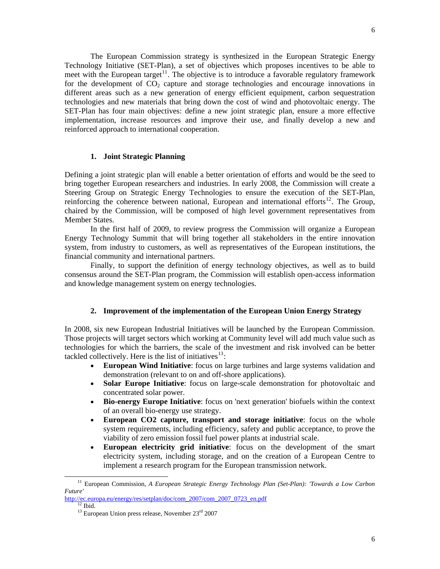The European Commission strategy is synthesized in the European Strategic Energy Technology Initiative (SET-Plan), a set of objectives which proposes incentives to be able to meet with the European target<sup>[11](#page-5-0)</sup>. The objective is to introduce a favorable regulatory framework for the development of  $CO<sub>2</sub>$  capture and storage technologies and encourage innovations in different areas such as a new generation of energy efficient equipment, carbon sequestration technologies and new materials that bring down the cost of wind and photovoltaic energy. The SET-Plan has four main objectives: define a new joint strategic plan, ensure a more effective implementation, increase resources and improve their use, and finally develop a new and reinforced approach to international cooperation.

## **1. Joint Strategic Planning**

Defining a joint strategic plan will enable a better orientation of efforts and would be the seed to bring together European researchers and industries. In early 2008, the Commission will create a Steering Group on Strategic Energy Technologies to ensure the execution of the SET-Plan, reinforcing the coherence between national, European and international efforts $12$ . The Group, chaired by the Commission, will be composed of high level government representatives from Member States.

In the first half of 2009, to review progress the Commission will organize a European Energy Technology Summit that will bring together all stakeholders in the entire innovation system, from industry to customers, as well as representatives of the European institutions, the financial community and international partners.

Finally, to support the definition of energy technology objectives, as well as to build consensus around the SET-Plan program, the Commission will establish open-access information and knowledge management system on energy technologies.

## **2. Improvement of the implementation of the European Union Energy Strategy**

In 2008, six new European Industrial Initiatives will be launched by the European Commission. Those projects will target sectors which working at Community level will add much value such as technologies for which the barriers, the scale of the investment and risk involved can be better tackled collectively. Here is the list of initiatives $13$ :

- **European Wind Initiative**: focus on large turbines and large systems validation and demonstration (relevant to on and off-shore applications).
- **Solar Europe Initiative**: focus on large-scale demonstration for photovoltaic and concentrated solar power.
- **Bio-energy Europe Initiative**: focus on 'next generation' biofuels within the context of an overall bio-energy use strategy.
- **European CO2 capture, transport and storage initiative**: focus on the whole system requirements, including efficiency, safety and public acceptance, to prove the viability of zero emission fossil fuel power plants at industrial scale.
- **European electricity grid initiative**: focus on the development of the smart electricity system, including storage, and on the creation of a European Centre to implement a research program for the European transmission network.

<span id="page-5-0"></span> <sup>11</sup> European Commission, *A European Strategic Energy Technology Plan (Set-Plan): 'Towards a Low Carbon Future'*

<span id="page-5-2"></span><span id="page-5-1"></span>[http://ec.europa.eu/energy/res/setplan/doc/com\\_2007/com\\_2007\\_0723\\_en.pdf](http://ec.europa.eu/energy/res/setplan/doc/com_2007/com_2007_0723_en.pdf) <sup>12</sup> Ibid.

 $13$  European Union press release, November  $23<sup>rd</sup>$  2007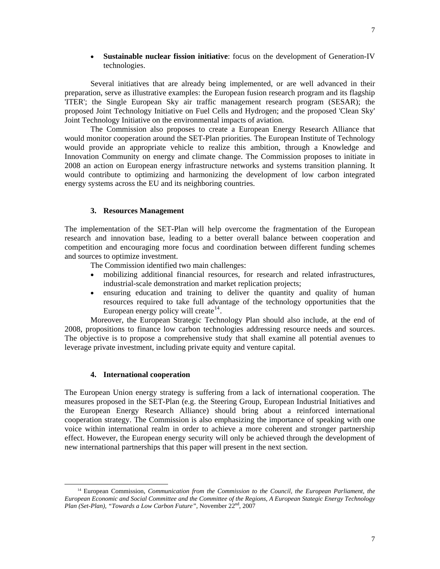• **Sustainable nuclear fission initiative**: focus on the development of Generation-IV technologies.

Several initiatives that are already being implemented, or are well advanced in their preparation, serve as illustrative examples: the European fusion research program and its flagship 'ITER'; the Single European Sky air traffic management research program (SESAR); the proposed Joint Technology Initiative on Fuel Cells and Hydrogen; and the proposed 'Clean Sky' Joint Technology Initiative on the environmental impacts of aviation.

The Commission also proposes to create a European Energy Research Alliance that would monitor cooperation around the SET-Plan priorities. The European Institute of Technology would provide an appropriate vehicle to realize this ambition, through a Knowledge and Innovation Community on energy and climate change. The Commission proposes to initiate in 2008 an action on European energy infrastructure networks and systems transition planning. It would contribute to optimizing and harmonizing the development of low carbon integrated energy systems across the EU and its neighboring countries.

## **3. Resources Management**

The implementation of the SET-Plan will help overcome the fragmentation of the European research and innovation base, leading to a better overall balance between cooperation and competition and encouraging more focus and coordination between different funding schemes and sources to optimize investment.

The Commission identified two main challenges:

- mobilizing additional financial resources, for research and related infrastructures, industrial-scale demonstration and market replication projects;
- ensuring education and training to deliver the quantity and quality of human resources required to take full advantage of the technology opportunities that the European energy policy will create  $14$ .

Moreover, the European Strategic Technology Plan should also include, at the end of 2008, propositions to finance low carbon technologies addressing resource needs and sources. The objective is to propose a comprehensive study that shall examine all potential avenues to leverage private investment, including private equity and venture capital.

## **4. International cooperation**

The European Union energy strategy is suffering from a lack of international cooperation. The measures proposed in the SET-Plan (e.g. the Steering Group, European Industrial Initiatives and the European Energy Research Alliance) should bring about a reinforced international cooperation strategy. The Commission is also emphasizing the importance of speaking with one voice within international realm in order to achieve a more coherent and stronger partnership effect. However, the European energy security will only be achieved through the development of new international partnerships that this paper will present in the next section.

<span id="page-6-0"></span> <sup>14</sup> European Commission, *Communication from the Commission to the Council, the European Parliament, the European Economic and Social Committee and the Committee of the Regions, A European Stategic Energy Technology Plan (Set-Plan), "Towards a Low Carbon Future",* November 22nd, 2007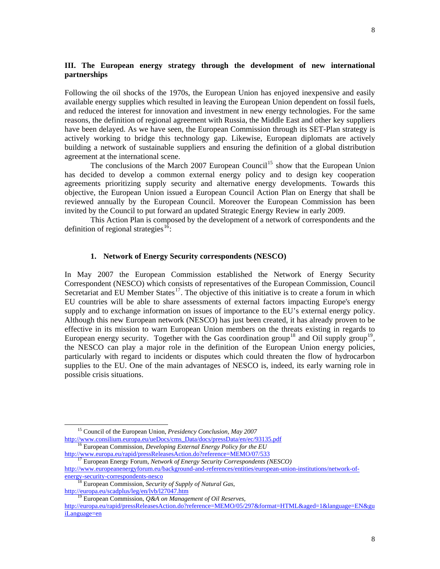## **III. The European energy strategy through the development of new international partnerships**

Following the oil shocks of the 1970s, the European Union has enjoyed inexpensive and easily available energy supplies which resulted in leaving the European Union dependent on fossil fuels, and reduced the interest for innovation and investment in new energy technologies. For the same reasons, the definition of regional agreement with Russia, the Middle East and other key suppliers have been delayed. As we have seen, the European Commission through its SET-Plan strategy is actively working to bridge this technology gap. Likewise, European diplomats are actively building a network of sustainable suppliers and ensuring the definition of a global distribution agreement at the international scene.

The conclusions of the March 2007 European Council<sup>[15](#page-7-0)</sup> show that the European Union has decided to develop a common external energy policy and to design key cooperation agreements prioritizing supply security and alternative energy developments. Towards this objective, the European Union issued a European Council Action Plan on Energy that shall be reviewed annually by the European Council. Moreover the European Commission has been invited by the Council to put forward an updated Strategic Energy Review in early 2009.

This Action Plan is composed by the development of a network of correspondents and the definition of regional strategies<sup>[16](#page-7-1)</sup>:

## **1. Network of Energy Security correspondents (NESCO)**

In May 2007 the European Commission established the Network of Energy Security Correspondent (NESCO) which consists of representatives of the European Commission, Council Secretariat and EU Member States<sup>[17](#page-7-2)</sup>. The objective of this initiative is to create a forum in which EU countries will be able to share assessments of external factors impacting Europe's energy supply and to exchange information on issues of importance to the EU's external energy policy. Although this new European network (NESCO) has just been created, it has already proven to be effective in its mission to warn European Union members on the threats existing in regards to European energy security. Together with the Gas coordination group<sup>[18](#page-7-3)</sup> and Oil supply group<sup>[19](#page-7-4)</sup>, the NESCO can play a major role in the definition of the European Union energy policies, particularly with regard to incidents or disputes which could threaten the flow of hydrocarbon supplies to the EU. One of the main advantages of NESCO is, indeed, its early warning role in possible crisis situations.

<span id="page-7-0"></span><sup>&</sup>lt;sup>15</sup> Council of the European Union, *Presidency Conclusion, May 2007*<br>http://www.consilium.europa.eu/ueDocs/cms\_Data/docs/pressData/en/ec/93135.pdf

<span id="page-7-1"></span><sup>&</sup>lt;sup>16</sup> European Commission, *Developing External Energy Policy for the EU*<br>http://www.europa.eu/rapid/pressReleasesAction.do?reference=MEMO/07/533

<span id="page-7-2"></span><sup>&</sup>lt;sup>17</sup> European Energy Forum, *Network of Energy Security Correspondents (NESCO)* [http://www.europeanenergyforum.eu/background-and-references/entities/european-union-institutions/network-of-](http://www.europeanenergyforum.eu/background-and-references/entities/european-union-institutions/network-of-energy-security-correspondents-nesco)

<span id="page-7-3"></span>[energy-security-correspondents-nesco](http://www.europeanenergyforum.eu/background-and-references/entities/european-union-institutions/network-of-energy-security-correspondents-nesco) 18 European Commission, *Security of Supply of Natural Gas*,

<http://europa.eu/scadplus/leg/en/lvb/l27047.htm> 19 European Commission, *Q&A on Management of Oil Reserves*,

<span id="page-7-4"></span>[http://europa.eu/rapid/pressReleasesAction.do?reference=MEMO/05/297&format=HTML&aged=1&language=EN&gu](http://europa.eu/rapid/pressReleasesAction.do?reference=MEMO/05/297&format=HTML&aged=1&language=EN&guiLanguage=en) [iLanguage=en](http://europa.eu/rapid/pressReleasesAction.do?reference=MEMO/05/297&format=HTML&aged=1&language=EN&guiLanguage=en)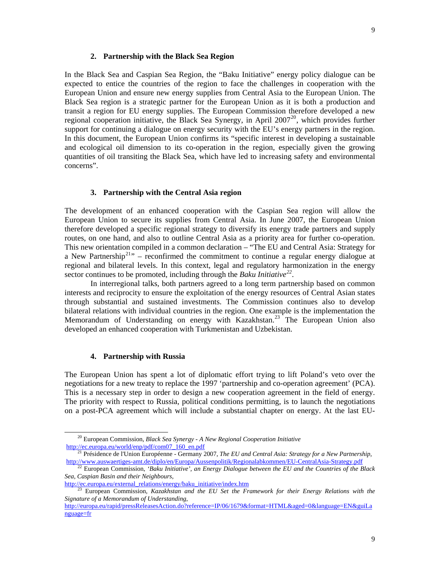## **2. Partnership with the Black Sea Region**

In the Black Sea and Caspian Sea Region, the "Baku Initiative" energy policy dialogue can be expected to entice the countries of the region to face the challenges in cooperation with the European Union and ensure new energy supplies from Central Asia to the European Union. The Black Sea region is a strategic partner for the European Union as it is both a production and transit a region for EU energy supplies. The European Commission therefore developed a new regional cooperation initiative, the Black Sea Synergy, in April  $2007^{20}$  $2007^{20}$ , which provides further support for continuing a dialogue on energy security with the EU's energy partners in the region. In this document, the European Union confirms its "specific interest in developing a sustainable and ecological oil dimension to its co-operation in the region, especially given the growing quantities of oil transiting the Black Sea, which have led to increasing safety and environmental concerns".

## **3. Partnership with the Central Asia region**

The development of an enhanced cooperation with the Caspian Sea region will allow the European Union to secure its supplies from Central Asia. In June 2007, the European Union therefore developed a specific regional strategy to diversify its energy trade partners and supply routes, on one hand, and also to outline Central Asia as a priority area for further co-operation. This new orientation compiled in a common declaration – "The EU and Central Asia: Strategy for a New Partnership<sup>[21](#page-8-1)</sup>" – reconfirmed the commitment to continue a regular energy dialogue at regional and bilateral levels. In this context, legal and regulatory harmonization in the energy sector continues to be promoted, including through the *Baku Initiative[22](#page-8-2).*

In interregional talks, both partners agreed to a long term partnership based on common interests and reciprocity to ensure the exploitation of the energy resources of Central Asian states through substantial and sustained investments. The Commission continues also to develop bilateral relations with individual countries in the region. One example is the implementation the Memorandum of Understanding on energy with Kazakhstan.<sup>[23](#page-8-3)</sup> The European Union also developed an enhanced cooperation with Turkmenistan and Uzbekistan.

## **4. Partnership with Russia**

The European Union has spent a lot of diplomatic effort trying to lift Poland's veto over the negotiations for a new treaty to replace the 1997 'partnership and co-operation agreement' (PCA). This is a necessary step in order to design a new cooperation agreement in the field of energy. The priority with respect to Russia, political conditions permitting, is to launch the negotiations on a post-PCA agreement which will include a substantial chapter on energy. At the last EU-

<span id="page-8-0"></span><sup>&</sup>lt;sup>20</sup> European Commission, *Black Sea Synergy - A New Regional Cooperation Initiative*<br>http://ec.europa.eu/world/enp/pdf/com07\_160\_en.pdf

<span id="page-8-1"></span><sup>&</sup>lt;sup>21</sup> Présidence de l'Union Européenne - Germany 2007, *The EU and Central Asia: Strategy for a New Partnership*, http://www.auswaertiges-amt.de/diplo/en/Europa/Aussenpolitik/Regionalabkommen/EU-Central Asia-Strategy.pdf

<span id="page-8-2"></span><sup>&</sup>lt;sup>22</sup> European Commission, *'Baku Initiative', an Energy Dialogue between the EU and the Countries of the Black Sea, Caspian Basin and their Neighbours,*

<span id="page-8-3"></span>[http://ec.europa.eu/external\\_relations/energy/baku\\_initiative/index.htm](http://ec.europa.eu/external_relations/energy/baku_initiative/index.htm) 23 European Commission, *Kazakhstan and the EU Set the Framework for their Energy Relations with the Signature of a Memorandum of Understanding*,

[http://europa.eu/rapid/pressReleasesAction.do?reference=IP/06/1679&format=HTML&aged=0&language=EN&guiLa](http://europa.eu/rapid/pressReleasesAction.do?reference=IP/06/1679&format=HTML&aged=0&language=EN&guiLanguage=fr) [nguage=fr](http://europa.eu/rapid/pressReleasesAction.do?reference=IP/06/1679&format=HTML&aged=0&language=EN&guiLanguage=fr)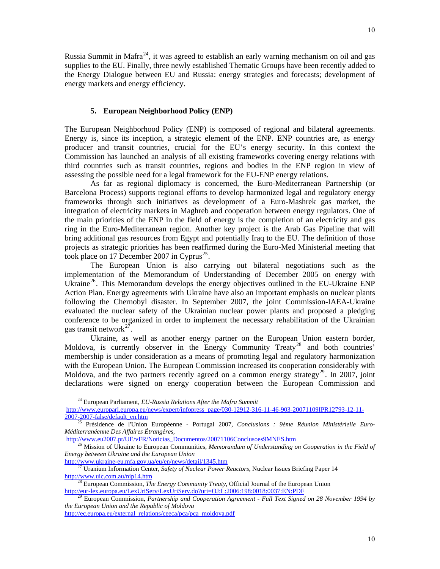Russia Summit in Mafra<sup>[24](#page-9-0)</sup>, it was agreed to establish an early warning mechanism on oil and gas supplies to the EU. Finally, three newly established Thematic Groups have been recently added to the Energy Dialogue between EU and Russia: energy strategies and forecasts; development of energy markets and energy efficiency.

## **5. European Neighborhood Policy (ENP)**

The European Neighborhood Policy (ENP) is composed of regional and bilateral agreements. Energy is, since its inception, a strategic element of the ENP. ENP countries are, as energy producer and transit countries, crucial for the EU's energy security. In this context the Commission has launched an analysis of all existing frameworks covering energy relations with third countries such as transit countries, regions and bodies in the ENP region in view of assessing the possible need for a legal framework for the EU-ENP energy relations.

As far as regional diplomacy is concerned, the Euro-Mediterranean Partnership (or Barcelona Process) supports regional efforts to develop harmonized legal and regulatory energy frameworks through such initiatives as development of a Euro-Mashrek gas market, the integration of electricity markets in Maghreb and cooperation between energy regulators. One of the main priorities of the ENP in the field of energy is the completion of an electricity and gas ring in the Euro-Mediterranean region. Another key project is the Arab Gas Pipeline that will bring additional gas resources from Egypt and potentially Iraq to the EU. The definition of those projects as strategic priorities has been reaffirmed during the Euro-Med Ministerial meeting that took place on 17 December 2007 in Cyprus<sup>[25](#page-9-1)</sup>.

The European Union is also carrying out bilateral negotiations such as the implementation of the Memorandum of Understanding of December 2005 on energy with Ukraine<sup>[26](#page-9-2)</sup>. This Memorandum develops the energy objectives outlined in the EU-Ukraine ENP Action Plan. Energy agreements with Ukraine have also an important emphasis on nuclear plants following the Chernobyl disaster. In September 2007, the joint Commission-IAEA-Ukraine evaluated the nuclear safety of the Ukrainian nuclear power plants and proposed a pledging conference to be organized in order to implement the necessary rehabilitation of the Ukrainian gas transit network $27$ .

Ukraine, as well as another energy partner on the European Union eastern border, Moldova, is currently observer in the Energy Community Treaty<sup>[28](#page-9-4)</sup> and both countries' membership is under consideration as a means of promoting legal and regulatory harmonization with the European Union. The European Commission increased its cooperation considerably with Moldova, and the two partners recently agreed on a common energy strategy<sup>[29](#page-9-5)</sup>. In 2007, joint declarations were signed on energy cooperation between the European Commission and

<span id="page-9-0"></span> <sup>24</sup> European Parliament, *EU-Russia Relations After the Mafra Summit*  [http://www.europarl.europa.eu/news/expert/infopress\\_page/030-12912-316-11-46-903-20071109IPR12793-12-11-](http://www.europarl.europa.eu/news/expert/infopress_page/030-12912-316-11-46-903-20071109IPR12793-12-11-2007-2007-false/default_en.htm)<br>2007-2007-false/default\_en.htm

<span id="page-9-1"></span><sup>&</sup>lt;sup>25</sup> Présidence de l'Union Européenne - Portugal 2007, *Conclusions : 9ème Réunion Ministérielle Euro-Méditerranéenne Des Affaires Étrangères,*<br>
<u>http://www.eu2007.pt/UE/vFR/Noticias\_Documentos/20071106Conclusoes9MNES.htm</u>

<span id="page-9-2"></span><sup>&</sup>lt;sup>26</sup> Mission of Ukraine to European Communities, *Memorandum of Understanding on Cooperation in the Field of Energy between Ukraine and the European Union*

<sup>&</sup>lt;sup>27</sup> Uranium Information Center, *Safety of Nuclear Power Reactors*, Nuclear Issues Briefing Paper 14

<span id="page-9-4"></span><span id="page-9-3"></span><http://www.uic.com.au/nip14.htm><br><sup>28</sup> European Commission, *The Energy Community Treaty*, Official Journal of the European Union<br>http://eur-lex.europa.eu/LexUriServ/LexUriServ.do?uri=OJ:L:2006:198:0018:0037:EN:PDF

<span id="page-9-5"></span>European Commission, Partnership and Cooperation Agreement - Full Text Signed on 28 November 1994 by *the European Union and the Republic of Moldova*

[http://ec.europa.eu/external\\_relations/ceeca/pca/pca\\_moldova.pdf](http://ec.europa.eu/external_relations/ceeca/pca/pca_moldova.pdf)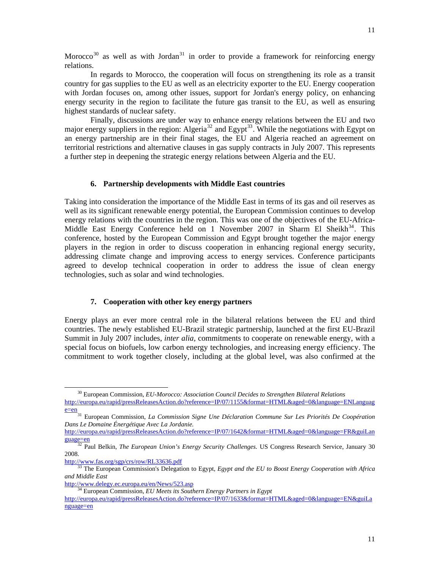11

Morocco<sup>[30](#page-10-0)</sup> as well as with Jordan<sup>[31](#page-10-1)</sup> in order to provide a framework for reinforcing energy relations.

In regards to Morocco, the cooperation will focus on strengthening its role as a transit country for gas supplies to the EU as well as an electricity exporter to the EU. Energy cooperation with Jordan focuses on, among other issues, support for Jordan's energy policy, on enhancing energy security in the region to facilitate the future gas transit to the EU, as well as ensuring highest standards of nuclear safety.

Finally, discussions are under way to enhance energy relations between the EU and two major energy suppliers in the region: Algeria<sup>[32](#page-10-2)</sup> and Egypt<sup>[33](#page-10-3)</sup>. While the negotiations with Egypt on an energy partnership are in their final stages, the EU and Algeria reached an agreement on territorial restrictions and alternative clauses in gas supply contracts in July 2007. This represents a further step in deepening the strategic energy relations between Algeria and the EU.

## **6. Partnership developments with Middle East countries**

Taking into consideration the importance of the Middle East in terms of its gas and oil reserves as well as its significant renewable energy potential, the European Commission continues to develop energy relations with the countries in the region. This was one of the objectives of the EU-Africa-Middle East Energy Conference held on 1 November 2007 in Sharm El Sheikh<sup>[34](#page-10-4)</sup>. This conference, hosted by the European Commission and Egypt brought together the major energy players in the region in order to discuss cooperation in enhancing regional energy security, addressing climate change and improving access to energy services. Conference participants agreed to develop technical cooperation in order to address the issue of clean energy technologies, such as solar and wind technologies.

## **7. Cooperation with other key energy partners**

Energy plays an ever more central role in the bilateral relations between the EU and third countries. The newly established EU-Brazil strategic partnership, launched at the first EU-Brazil Summit in July 2007 includes, *inter alia,* commitments to cooperate on renewable energy, with a special focus on biofuels, low carbon energy technologies, and increasing energy efficiency. The commitment to work together closely, including at the global level, was also confirmed at the

 <sup>30</sup> European Commission, *EU-Morocco: Association Council Decides to Strengthen Bilateral Relations*

<span id="page-10-0"></span>[http://europa.eu/rapid/pressReleasesAction.do?reference=IP/07/1155&format=HTML&aged=0&language=ENLanguag](http://europa.eu/rapid/pressReleasesAction.do?reference=IP/07/1155&format=HTML&aged=0&language=ENLanguage=en)e=2007<br>
Electric Contention

<span id="page-10-1"></span>European Commission, *La Commission Signe Une Déclaration Commune Sur Les Priorités De Coopération Dans Le Domaine Énergétique Avec La Jordanie.*

[http://europa.eu/rapid/pressReleasesAction.do?reference=IP/07/1642&format=HTML&aged=0&language=FR&guiLan](http://europa.eu/rapid/pressReleasesAction.do?reference=IP/07/1642&format=HTML&aged=0&language=FR&guiLanguage=en) [guage=en](http://europa.eu/rapid/pressReleasesAction.do?reference=IP/07/1642&format=HTML&aged=0&language=FR&guiLanguage=en) 32 Paul Belkin, *The European Union's Energy Security Challenges.* US Congress Research Service, January 30

<span id="page-10-2"></span><sup>2008.&</sup>lt;br>http://www.fas.org/sgp/crs/row/RL33636.pdf

<span id="page-10-3"></span><sup>&</sup>lt;sup>33</sup> The European Commission's Delegation to Egypt, *Egypt and the EU to Boost Energy Cooperation with Africa and Middle East*

<span id="page-10-4"></span>

<http://www.delegy.ec.europa.eu/en/News/523.asp> 34 European Commission, *EU Meets its Southern Energy Partners in Egypt*

[http://europa.eu/rapid/pressReleasesAction.do?reference=IP/07/1633&format=HTML&aged=0&language=EN&guiLa](http://europa.eu/rapid/pressReleasesAction.do?reference=IP/07/1633&format=HTML&aged=0&language=EN&guiLanguage=en) [nguage=en](http://europa.eu/rapid/pressReleasesAction.do?reference=IP/07/1633&format=HTML&aged=0&language=EN&guiLanguage=en)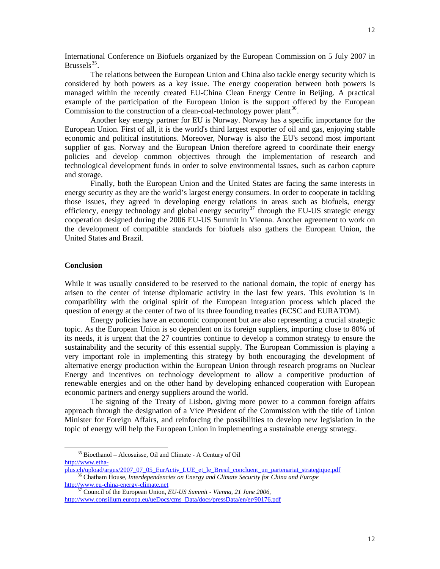International Conference on Biofuels organized by the European Commission on 5 July 2007 in Brussels $^{35}$  $^{35}$  $^{35}$ .

The relations between the European Union and China also tackle energy security which is considered by both powers as a key issue. The energy cooperation between both powers is managed within the recently created EU-China Clean Energy Centre in Beijing. A practical example of the participation of the European Union is the support offered by the European Commission to the construction of a clean-coal-technology power plant<sup>[36](#page-11-1)</sup>.

Another key energy partner for EU is Norway. Norway has a specific importance for the European Union. First of all, it is the world's third largest exporter of oil and gas, enjoying stable economic and political institutions. Moreover, Norway is also the EU's second most important supplier of gas. Norway and the European Union therefore agreed to coordinate their energy policies and develop common objectives through the implementation of research and technological development funds in order to solve environmental issues, such as carbon capture and storage.

Finally, both the European Union and the United States are facing the same interests in energy security as they are the world's largest energy consumers. In order to cooperate in tackling those issues, they agreed in developing energy relations in areas such as biofuels, energy efficiency, energy technology and global energy security<sup>[37](#page-11-2)</sup> through the EU-US strategic energy cooperation designed during the 2006 EU-US Summit in Vienna. Another agreement to work on the development of compatible standards for biofuels also gathers the European Union, the United States and Brazil.

## **Conclusion**

While it was usually considered to be reserved to the national domain, the topic of energy has arisen to the center of intense diplomatic activity in the last few years. This evolution is in compatibility with the original spirit of the European integration process which placed the question of energy at the center of two of its three founding treaties (ECSC and EURATOM).

 Energy policies have an economic component but are also representing a crucial strategic topic. As the European Union is so dependent on its foreign suppliers, importing close to 80% of its needs, it is urgent that the 27 countries continue to develop a common strategy to ensure the sustainability and the security of this essential supply. The European Commission is playing a very important role in implementing this strategy by both encouraging the development of alternative energy production within the European Union through research programs on Nuclear Energy and incentives on technology development to allow a competitive production of renewable energies and on the other hand by developing enhanced cooperation with European economic partners and energy suppliers around the world.

 The signing of the Treaty of Lisbon, giving more power to a common foreign affairs approach through the designation of a Vice President of the Commission with the title of Union Minister for Foreign Affairs, and reinforcing the possibilities to develop new legislation in the topic of energy will help the European Union in implementing a sustainable energy strategy.

 <sup>35</sup> Bioethanol – Alcosuisse, Oil and Climate - A Century of Oil

<span id="page-11-0"></span>http://www.etha-<br>plus.ch/upload/argus/2007\_07\_05\_EurActiv\_LUE\_et\_le\_Bresil\_concluent\_un\_partenariat\_strategique.pdf

<span id="page-11-1"></span><sup>&</sup>lt;sup>36</sup> Chatham House, *Interdependencies on Energy and Climate Security for China and Europe* [http://www.eu-china-energy-climate.net](http://www.eu-china-energy-climate.net/) 37 Council of the European Union, *EU-US Summit - Vienna, 21 June 2006*,

<span id="page-11-2"></span>[http://www.consilium.europa.eu/ueDocs/cms\\_Data/docs/pressData/en/er/90176.pdf](http://www.consilium.europa.eu/ueDocs/cms_Data/docs/pressData/en/er/90176.pdf)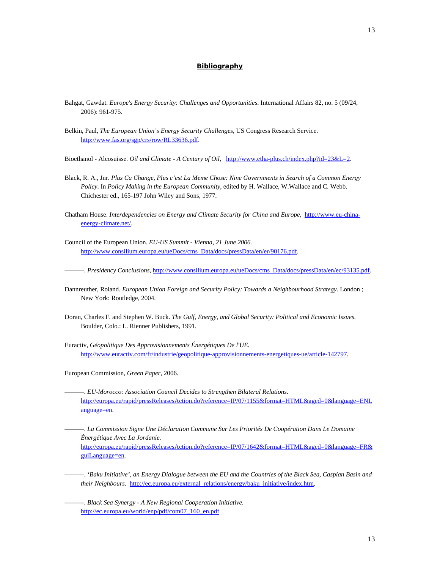#### **Bibliography**

- Bahgat, Gawdat. *Europe's Energy Security: Challenges and Opportunities*. International Affairs 82, no. 5 (09/24, 2006): 961-975.
- Belkin, Paul, *The European Union's Energy Security Challenges*, US Congress Research Service. [http://www.fas.org/sgp/crs/row/RL33636.pdf.](http://www.fas.org/sgp/crs/row/RL33636.pdf)
- Bioethanol Alcosuisse. *Oil and Climate A Century of Oil,* <http://www.etha-plus.ch/index.php?id=23&L=2>.
- Black, R. A., Jnr. *Plus Ca Change, Plus c'est La Meme Chose: Nine Governments in Search of a Common Energy Policy*. In *Policy Making in the European Community*, edited by H. Wallace, W.Wallace and C. Webb. Chichester ed., 165-197 John Wiley and Sons, 1977.
- Chatham House. *Interdependencies on Energy and Climate Security for China and Europe,* [http://www.eu-china](http://www.eu-china-energy-climate.net/)[energy-climate.net/](http://www.eu-china-energy-climate.net/).
- Council of the European Union. *EU-US Summit Vienna, 21 June 2006.*  [http://www.consilium.europa.eu/ueDocs/cms\\_Data/docs/pressData/en/er/90176.pdf](http://www.consilium.europa.eu/ueDocs/cms_Data/docs/pressData/en/er/90176.pdf).

———. *Presidency Conclusions*, [http://www.consilium.europa.eu/ueDocs/cms\\_Data/docs/pressData/en/ec/93135.pdf.](http://www.consilium.europa.eu/ueDocs/cms_Data/docs/pressData/en/ec/93135.pdf)

- Dannreuther, Roland. *European Union Foreign and Security Policy: Towards a Neighbourhood Strategy*. London ; New York: Routledge, 2004.
- Doran, Charles F. and Stephen W. Buck. *The Gulf, Energy, and Global Security: Political and Economic Issues*. Boulder, Colo.: L. Rienner Publishers, 1991.
- Euractiv, *Géopolitique Des Approvisionnements Énergétiques De l'UE.* [http://www.euractiv.com/fr/industrie/geopolitique-approvisionnements-energetiques-ue/article-142797.](http://www.euractiv.com/fr/industrie/geopolitique-approvisionnements-energetiques-ue/article-142797)
- European Commission, *Green Paper,* 2006.
- ———. *EU-Morocco: Association Council Decides to Strengthen Bilateral Relations.* [http://europa.eu/rapid/pressReleasesAction.do?reference=IP/07/1155&format=HTML&aged=0&language=ENL](http://europa.eu/rapid/pressReleasesAction.do?reference=IP/07/1155&format=HTML&aged=0&language=ENLanguage=en) [anguage=en](http://europa.eu/rapid/pressReleasesAction.do?reference=IP/07/1155&format=HTML&aged=0&language=ENLanguage=en).
- ———. *La Commission Signe Une Déclaration Commune Sur Les Priorités De Coopération Dans Le Domaine Énergétique Avec La Jordanie.*

[http://europa.eu/rapid/pressReleasesAction.do?reference=IP/07/1642&format=HTML&aged=0&language=FR&](http://europa.eu/rapid/pressReleasesAction.do?reference=IP/07/1642&format=HTML&aged=0&language=FR&guiLanguage=en) [guiLanguage=en](http://europa.eu/rapid/pressReleasesAction.do?reference=IP/07/1642&format=HTML&aged=0&language=FR&guiLanguage=en).

———. *'Baku Initiative', an Energy Dialogue between the EU and the Countries of the Black Sea, Caspian Basin and their Neighbours.* [http://ec.europa.eu/external\\_relations/energy/baku\\_initiative/index.htm.](http://ec.europa.eu/external_relations/energy/baku_initiative/index.htm)

———. *Black Sea Synergy - A New Regional Cooperation Initiative.*  [http://ec.europa.eu/world/enp/pdf/com07\\_160\\_en.pdf](http://ec.europa.eu/world/enp/pdf/com07_160_en.pdf)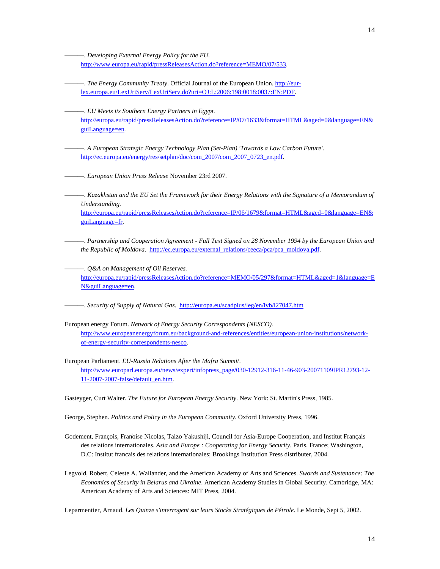———. *Developing External Energy Policy for the EU.* <http://www.europa.eu/rapid/pressReleasesAction.do?reference=MEMO/07/533>.

- The Energy Community Treaty. Official Journal of the European Union. [http://eur](http://eur-lex.europa.eu/LexUriServ/LexUriServ.do?uri=OJ:L:2006:198:0018:0037:EN:PDF)[lex.europa.eu/LexUriServ/LexUriServ.do?uri=OJ:L:2006:198:0018:0037:EN:PDF](http://eur-lex.europa.eu/LexUriServ/LexUriServ.do?uri=OJ:L:2006:198:0018:0037:EN:PDF).
	- ———. *EU Meets its Southern Energy Partners in Egypt.*  [http://europa.eu/rapid/pressReleasesAction.do?reference=IP/07/1633&format=HTML&aged=0&language=EN&](http://europa.eu/rapid/pressReleasesAction.do?reference=IP/07/1633&format=HTML&aged=0&language=EN&guiLanguage=en) [guiLanguage=en](http://europa.eu/rapid/pressReleasesAction.do?reference=IP/07/1633&format=HTML&aged=0&language=EN&guiLanguage=en).
- ———. *A European Strategic Energy Technology Plan (Set-Plan) 'Towards a Low Carbon Future'.* [http://ec.europa.eu/energy/res/setplan/doc/com\\_2007/com\\_2007\\_0723\\_en.pdf.](http://ec.europa.eu/energy/res/setplan/doc/com_2007/com_2007_0723_en.pdf)

———. *European Union Press Release* November 23rd 2007.

———. *Kazakhstan and the EU Set the Framework for their Energy Relations with the Signature of a Memorandum of Understanding.*

[http://europa.eu/rapid/pressReleasesAction.do?reference=IP/06/1679&format=HTML&aged=0&language=EN&](http://europa.eu/rapid/pressReleasesAction.do?reference=IP/06/1679&format=HTML&aged=0&language=EN&guiLanguage=fr) [guiLanguage=fr.](http://europa.eu/rapid/pressReleasesAction.do?reference=IP/06/1679&format=HTML&aged=0&language=EN&guiLanguage=fr)

———. *Partnership and Cooperation Agreement - Full Text Signed on 28 November 1994 by the European Union and the Republic of Moldova.* [http://ec.europa.eu/external\\_relations/ceeca/pca/pca\\_moldova.pdf.](http://ec.europa.eu/external_relations/ceeca/pca/pca_moldova.pdf)

———. *Q&A on Management of Oil Reserves.* [http://europa.eu/rapid/pressReleasesAction.do?reference=MEMO/05/297&format=HTML&aged=1&language=E](http://europa.eu/rapid/pressReleasesAction.do?reference=MEMO/05/297&format=HTML&aged=1&language=EN&guiLanguage=en) [N&guiLanguage=en.](http://europa.eu/rapid/pressReleasesAction.do?reference=MEMO/05/297&format=HTML&aged=1&language=EN&guiLanguage=en)

———. *Security of Supply of Natural Gas.* <http://europa.eu/scadplus/leg/en/lvb/l27047.htm>

European energy Forum. *Network of Energy Security Correspondents (NESCO).*  [http://www.europeanenergyforum.eu/background-and-references/entities/european-union-institutions/network](http://www.europeanenergyforum.eu/background-and-references/entities/european-union-institutions/network-of-energy-security-correspondents-nesco)[of-energy-security-correspondents-nesco.](http://www.europeanenergyforum.eu/background-and-references/entities/european-union-institutions/network-of-energy-security-correspondents-nesco)

European Parliament. *EU-Russia Relations After the Mafra Summit*. [http://www.europarl.europa.eu/news/expert/infopress\\_page/030-12912-316-11-46-903-20071109IPR12793-12-](http://www.europarl.europa.eu/news/expert/infopress_page/030-12912-316-11-46-903-20071109IPR12793-12-11-2007-2007-false/default_en.htm) [11-2007-2007-false/default\\_en.htm](http://www.europarl.europa.eu/news/expert/infopress_page/030-12912-316-11-46-903-20071109IPR12793-12-11-2007-2007-false/default_en.htm).

Gasteyger, Curt Walter. *The Future for European Energy Security*. New York: St. Martin's Press, 1985.

George, Stephen. *Politics and Policy in the European Community.* Oxford University Press, 1996.

- Godement, François, Fraṅoise Nicolas, Taizo Yakushiji, Council for Asia-Europe Cooperation, and Institut Français des relations internationales. *Asia and Europe : Cooperating for Energy Security*. Paris, France; Washington, D.C: Institut francais des relations internationales; Brookings Institution Press distributer, 2004.
- Legvold, Robert, Celeste A. Wallander, and the American Academy of Arts and Sciences. *Swords and Sustenance: The Economics of Security in Belarus and Ukraine*. American Academy Studies in Global Security. Cambridge, MA: American Academy of Arts and Sciences: MIT Press, 2004.

Leparmentier, Arnaud. *Les Quinze s'interrogent sur leurs Stocks Stratégiques de Pétrole*. Le Monde*,* Sept 5, 2002.